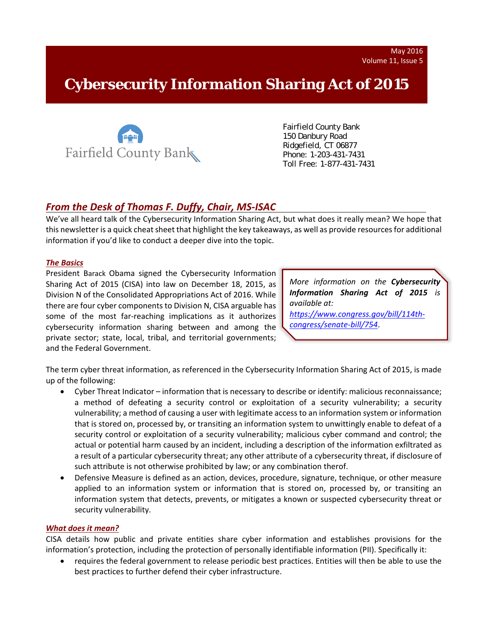# **Cybersecurity Information Sharing Act of 2015**



 Fairfield County Bank 150 Danbury Road Ridgefield, CT 06877 Phone: 1-203-431-7431 Toll Free: 1-877-431-7431

## *From the Desk of Thomas F. Duffy, Chair, MS‐ISAC*

We've all heard talk of the Cybersecurity Information Sharing Act, but what does it really mean? We hope that this newsletter is a quick cheat sheet that highlight the key takeaways, as well as provide resources for additional information if you'd like to conduct a deeper dive into the topic.

### *The Basics*

President Barack Obama signed the Cybersecurity Information Sharing Act of 2015 (CISA) into law on December 18, 2015, as Division N of the Consolidated Appropriations Act of 2016. While there are four cyber components to Division N, CISA arguable has some of the most far-reaching implications as it authorizes cybersecurity information sharing between and among the private sector; state, local, tribal, and territorial governments; and the Federal Government.

*More information on the Cybersecurity Information Sharing Act of 2015 is available at: https://www.congress.gov/bill/114th‐*

*congress/senate‐bill/754*.

The term cyber threat information, as referenced in the Cybersecurity Information Sharing Act of 2015, is made up of the following:

- Cyber Threat Indicator information that is necessary to describe or identify: malicious reconnaissance; a method of defeating a security control or exploitation of a security vulnerability; a security vulnerability; a method of causing a user with legitimate access to an information system or information that is stored on, processed by, or transiting an information system to unwittingly enable to defeat of a security control or exploitation of a security vulnerability; malicious cyber command and control; the actual or potential harm caused by an incident, including a description of the information exfiltrated as a result of a particular cybersecurity threat; any other attribute of a cybersecurity threat, if disclosure of such attribute is not otherwise prohibited by law; or any combination therof.
- Defensive Measure is defined as an action, devices, procedure, signature, technique, or other measure applied to an information system or information that is stored on, processed by, or transiting an information system that detects, prevents, or mitigates a known or suspected cybersecurity threat or security vulnerability.

#### *What does it mean?*

CISA details how public and private entities share cyber information and establishes provisions for the information's protection, including the protection of personally identifiable information (PII). Specifically it:

 requires the federal government to release periodic best practices. Entities will then be able to use the best practices to further defend their cyber infrastructure.